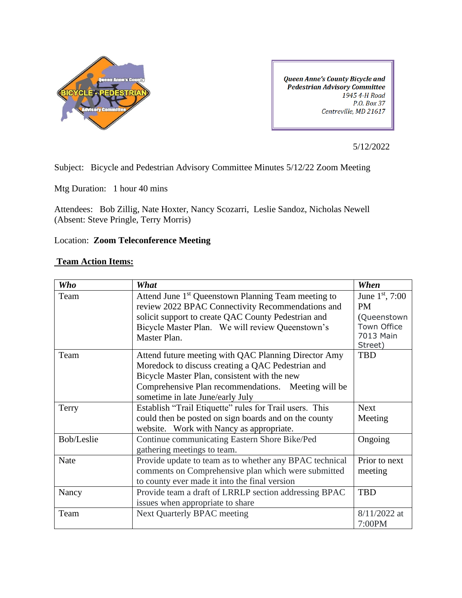

**Queen Anne's County Bicycle and Pedestrian Advisory Committee** 1945 4-H Road P.O. Box 37 Centreville, MD 21617

5/12/2022

Subject: Bicycle and Pedestrian Advisory Committee Minutes 5/12/22 Zoom Meeting

Mtg Duration: 1 hour 40 mins

Attendees: Bob Zillig, Nate Hoxter, Nancy Scozarri, Leslie Sandoz, Nicholas Newell (Absent: Steve Pringle, Terry Morris)

## Location: **Zoom Teleconference Meeting**

## **Team Action Items:**

| <b>Who</b>  | What                                                                                                      | When                  |
|-------------|-----------------------------------------------------------------------------------------------------------|-----------------------|
| Team        | Attend June 1 <sup>st</sup> Queenstown Planning Team meeting to                                           | June $1^{st}$ , 7:00  |
|             | review 2022 BPAC Connectivity Recommendations and                                                         | <b>PM</b>             |
|             | solicit support to create QAC County Pedestrian and                                                       | (Queenstown           |
|             | Bicycle Master Plan. We will review Queenstown's                                                          | Town Office           |
|             | Master Plan.                                                                                              | 7013 Main             |
|             |                                                                                                           | Street)<br><b>TBD</b> |
| Team        | Attend future meeting with QAC Planning Director Amy<br>Moredock to discuss creating a QAC Pedestrian and |                       |
|             | Bicycle Master Plan, consistent with the new                                                              |                       |
|             | Comprehensive Plan recommendations. Meeting will be                                                       |                       |
|             | sometime in late June/early July                                                                          |                       |
| Terry       | Establish "Trail Etiquette" rules for Trail users. This                                                   | Next                  |
|             | could then be posted on sign boards and on the county                                                     | Meeting               |
|             | website. Work with Nancy as appropriate.                                                                  |                       |
| Bob/Leslie  | Continue communicating Eastern Shore Bike/Ped                                                             | Ongoing               |
|             | gathering meetings to team.                                                                               |                       |
| <b>Nate</b> | Provide update to team as to whether any BPAC technical                                                   | Prior to next         |
|             | comments on Comprehensive plan which were submitted                                                       | meeting               |
|             | to county ever made it into the final version                                                             |                       |
| Nancy       | Provide team a draft of LRRLP section addressing BPAC                                                     | <b>TBD</b>            |
|             | issues when appropriate to share                                                                          |                       |
| Team        | <b>Next Quarterly BPAC meeting</b>                                                                        | $8/11/2022$ at        |
|             |                                                                                                           | 7:00PM                |